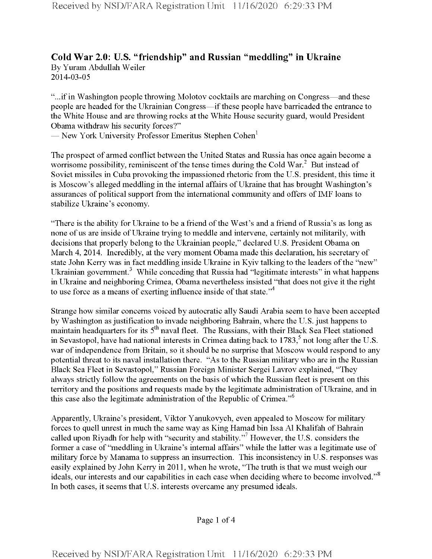## **Cold War 2.0: U.S. "friendship" and Russian "meddling" in Ukraine** By Yuram Abdullah Weiler 2014-03-05

"...ifin Washington people throwing Molotov cocktails are marching on Congress—and these people are headed for the Ukrainian Congress—ifthese people have barricaded the entrance to the White House and are throwing rocks at the White House security guard, would President Obama withdraw his security forces?"

— New York University Professor Emeritus Stephen Cohen<sup>1</sup>

The prospect of armed conflict between the United States and Russia has once again become a worrisome possibility, reminiscent of the tense times during the Cold War. $^2$  But instead of Soviet missiles in Cuba provoking the impassioned rhetoric from the U.S. president, this time it is Moscow's alleged meddling in the internal affairs of Ukraine that has brought Washington's assurances of political support from the international community and offers of IMF loans to stabilize Ukraine's economy.

"There is the ability for Ukraine to be a friend of the West's and a friend of Russia's as long as none of us are inside of Ukraine trying to meddle and intervene, certainly not militarily, with decisions that properly belong to the Ukrainian people," declared U.S. President Obama on March 4, 2014. Incredibly, at the very moment Obama made this declaration, his secretary of state John Kerry was in fact meddling inside Ukraine in Kyiv talking to the leaders of the "new" Ukrainian government.<sup>3</sup> While conceding that Russia had "legitimate interests" in what happens in Ukraine and neighboring Crimea, Obama nevertheless insisted "that does not give it the right to use force as a means of exerting influence inside of that state."<sup>4</sup>

Strange how similar concerns voiced by autocratic ally Saudi Arabia seem to have been accepted by Washington as justification to invade neighboring Bahrain, where the U.S. just happens to maintain headquarters for its 5<sup>th</sup> naval fleet. The Russians, with their Black Sea Fleet stationed in Sevastopol, have had national interests in Crimea dating back to  $1783<sup>5</sup>$  not long after the U.S. war of independence from Britain, so it should be no surprise that Moscow would respond to any potential threat to its naval installation there. "As to the Russian military who are in the Russian Black Sea Fleet in Sevastopol," Russian Foreign Minister Sergei Lavrov explained, "They always strictly follow the agreements on the basis ofwhich the Russian fleet is present on this territory and the positions and requests made by the legitimate administration ofUkraine, and in this case also the legitimate administration of the Republic of Crimea."<sup>6</sup>

Apparently, Ukraine's president, Viktor Yanukovych, even appealed to Moscow for military forces to quell unrest in much the same way as King Hamad bin Issa A1 Khalifah of Bahrain called upon Riyadh for help with "security and stability."7 However, the U.S. considers the former a case of "meddling in Ukraine's internal affairs" while the latter was a legitimate use of military force by Manama to suppress an insurrection. This inconsistency in U.S. responses was easily explained by John Kerry in 2011, when he wrote, "The truth is that we must weigh our ideals, our interests and our capabilities in each case when deciding where to become involved."<sup>8</sup> In both cases, it seems that U.S. interests overcame any presumed ideals.

Page <sup>1</sup> of 4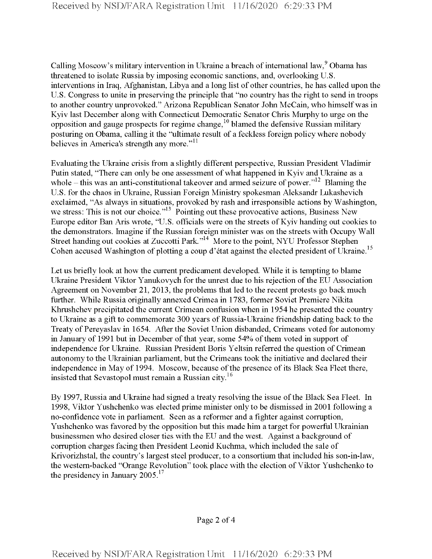Calling Moscow's military intervention in Ukraine a breach of international law,<sup>9</sup> Obama has threatened to isolate Russia by imposing economic sanctions, and, overlooking U.S. interventions in Iraq, Afghanistan, Libya and a long list of other countries, he has called upon the U.S. Congress to unite in preserving the principle that "no country has the right to send in troops to another country unprovoked." Arizona Republican Senator John McCain, who himself was in Kyiv last December along with Connecticut Democratic Senator Chris Murphy to urge on the opposition and gauge prospects for regime change,<sup>10</sup> blamed the defensive Russian military posturing on Obama, calling it the "ultimate result of a feckless foreign policy where nobody believes in America's strength any more."<sup>11</sup>

Evaluating the Ukraine crisis from a slightly different perspective, Russian President Vladimir Putin stated, "There can only be one assessment of what happened in Kyiv and Ukraine as a whole  $-$  this was an anti-constitutional takeover and armed seizure of power."<sup>12</sup> Blaming the U.S. for the chaos in Ukraine, Russian Foreign Ministry spokesman Aleksandr Lukashevich exclaimed, "As always in situations, provoked by rash and irresponsible actions by Washington, we stress: This is not our choice."<sup>13</sup> Pointing out these provocative actions, Business New Europe editor Ban Aris wrote, "U.S. officials were on the streets of Kyiv handing out cookies to the demonstrators. Imagine if the Russian foreign minister was on the streets with Occupy Wall Street handing out cookies at Zuccotti Park."<sup>14</sup> More to the point, NYU Professor Stephen Cohen accused Washington of plotting a coup d'état against the elected president of Ukraine.<sup>15</sup>

Let us briefly look at how the current predicament developed. While it is tempting to blame Ukraine President Viktor Yanukovych for the unrest due to his rejection of the EU Association Agreement on November 21, 2013, the problems that led to the recent protests go back much further. While Russia originally annexed Crimea in 1783, former Soviet Premiere Nikita Khrushchev precipitated the current Crimean confusion when in 1954 he presented the country to Ukraine as a gift to commemorate 300 years of Russia-Ukraine friendship dating back to the Treaty of Pereyaslav in 1654. After the Soviet Union disbanded, Crimeans voted for autonomy in January of 1991 but in December of that year, some 54% of them voted in support of independence for Ukraine. Russian President Boris Yeltsin referred the question of Crimean autonomy to the Ukrainian parliament, but the Crimeans took the initiative and declared their independence in May of 1994. Moscow, because of the presence of its Black Sea Fleet there, insisted that Sevastopol must remain a Russian city.<sup>16</sup>

By 1997, Russia and Ukraine had signed a treaty resolving the issue ofthe Black Sea Fleet. In 1998, Viktor Yushchenko was elected prime minister only to be dismissed in 2001 following a no-confidence vote in parliament. Seen as a reformer and a fighter against corruption, Yushchenko was favored by the opposition but this made him a target for powerful Ukrainian businessmen who desired closer ties with the EU and the west. Against a background of corruption charges facing then President Leonid Kuchma, which included the sale of Krivorizhstal, the country's largest steel producer, to a consortium that included his son-in-law, the western-backed "Orange Revolution" took place with the election of Viktor Yushchenko to the presidency in January  $2005$ <sup>17</sup>

Page 2 of 4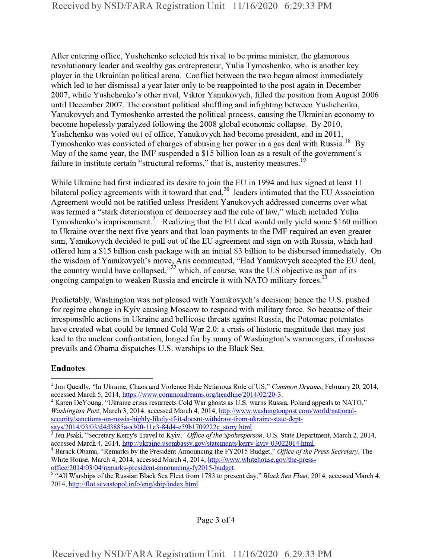After entering office, Yushchenko selected his rival to be prime minister, the glamorous revolutionary leader and wealthy gas entrepreneur, Yulia Tymoshenko, who is another key player in the Ukrainian political arena. Conflict between the two began almost immediately which led to her dismissal a year later only to be reappointed to the post again in December 2007, while Yushchenko's other rival, Viktor Yanukovych, filled the position from August 2006 until December 2007. The constant political shuffling and infighting between Yushchenko, Yanukovych and Tymoshenko arrested the political process, causing the Ukrainian economy to become hopelessly paralyzed following the 2008 global economic collapse. By 2010, Yushchenko was voted out of office, Yanukovych had become president, and in 2011, Tymoshenko was convicted of charges of abusing her power in a gas deal with Russia.<sup>18</sup> By May of the same year, the IMF suspended a \$15 billion loan as a result of the government's failure to institute certain "structural reforms," that is, austerity measures.<sup>19</sup>

While Ukraine had first indicated its desire to join the EU in 1994 and has signed at least <sup>11</sup> bilateral policy agreements with it toward that end, $2<sup>0</sup>$  leaders intimated that the EU Association Agreement would not be ratified unless President Yanukovych addressed concerns over what was termed a "stark deterioration of democracy and the rule of law," which included Yulia Tymoshenko's imprisonment.<sup>21</sup> Realizing that the EU deal would only yield some \$160 million to Ukraine over the next five years and that loan payments to the IMF required an even greater sum, Yanukovych decided to pull out of the EU agreement and sign on with Russia, which had offered him a \$15 billion cash package with an initial \$3 billion to be disbursed immediately. On the wisdom of Yanukovych's move, Aris commented, "Had Yanukovych accepted the EU deal, the country would have collapsed," $^{22}$  which, of course, was the U.S objective as part of its ongoing campaign to weaken Russia and encircle it with NATO military forces.<sup>2</sup>

Predictably, Washington was not pleased with Yanukovych's decision; hence the U.S. pushed for regime change in Kyiv causing Moscow to respond with military force. So because oftheir irresponsible actions in Ukraine and bellicose threats against Russia, the Potomac potentates have created what could be termed Cold War 2.0: a crisis of historic magnitude that may just lead to the nuclear confrontation, longed for by many of Washington's warmongers, if rashness prevails and Obama dispatches U.S. warships to the Black Sea.

## Endnotes

<sup>&</sup>lt;sup>1</sup> Jon Queally, "In Ukraine, Chaos and Violence Hide Nefarious Role of US," *Common Dreams*, February 20, 2014, accessed March 5, 2014, https://www.commondreams.org/headline/2014/02/20-3.

 $2$  Karen DeYoung, "Ukraine crisis resurrects Cold War ghosts as U.S. warns Russia, Poland appeals to NATO," *Washington Post,* March 3, 2014, accessed March 4, 2014, http://www.washingtonpost.com/world/nationalsecurity/sanctions-on-russia-highlv-likelv-if-it-doesnt-withdraw-from-ukraine-state-deptsavs/2014/03/03/d4d3885a-a300-l Ie3-84d4-e59b 1709222c storv.html.

<sup>&</sup>lt;sup>3</sup> Jen Psaki, "Secretary Kerry's Travel to Kyiv," Office of the Spokesperson, U.S. State Department, March 2, 2014, accessed March 4, 2014, http://ukraine.usembassy.gov/statements/kerry-kyiv-03022014.html.

<sup>4</sup> Barack Obama, "Remarks by the President Announcing the FY2015 Budget," *Office ofthe Press Secretaiy,* The White House, March 4, 2014, accessed March 4, 2014, http://www.whitehouse. gov/the-pressoffice/2014/03/04/remarks-president-announcing-fv2015-budget.

<sup>5</sup> "All Warships ofthe Russian Black Sea Fleet from 1783 to present day," *Black Sea Fleet,* 2014, accessed March 4, 2014, http://flot.sevastopol.info/eng/ship/index.html.